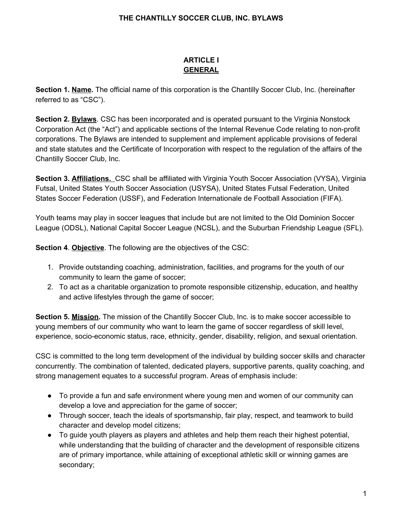# **ARTICLE I GENERAL**

**Section 1. Name.** The official name of this corporation is the Chantilly Soccer Club, Inc. (hereinafter referred to as "CSC").

**Section 2. Bylaws**. CSC has been incorporated and is operated pursuant to the Virginia Nonstock Corporation Act (the "Act") and applicable sections of the Internal Revenue Code relating to non-profit corporations. The Bylaws are intended to supplement and implement applicable provisions of federal and state statutes and the Certificate of Incorporation with respect to the regulation of the affairs of the Chantilly Soccer Club, Inc.

**Section 3. Affiliations.** CSC shall be affiliated with Virginia Youth Soccer Association (VYSA), Virginia Futsal, United States Youth Soccer Association (USYSA), United States Futsal Federation, United States Soccer Federation (USSF), and Federation Internationale de Football Association (FIFA).

Youth teams may play in soccer leagues that include but are not limited to the Old Dominion Soccer League (ODSL), National Capital Soccer League (NCSL), and the Suburban Friendship League (SFL).

**Section 4**. **Objective**. The following are the objectives of the CSC:

- 1. Provide outstanding coaching, administration, facilities, and programs for the youth of our community to learn the game of soccer;
- 2. To act as a charitable organization to promote responsible citizenship, education, and healthy and active lifestyles through the game of soccer;

**Section 5. Mission.** The mission of the Chantilly Soccer Club, Inc. is to make soccer accessible to young members of our community who want to learn the game of soccer regardless of skill level, experience, socio-economic status, race, ethnicity, gender, disability, religion, and sexual orientation.

CSC is committed to the long term development of the individual by building soccer skills and character concurrently. The combination of talented, dedicated players, supportive parents, quality coaching, and strong management equates to a successful program. Areas of emphasis include:

- To provide a fun and safe environment where young men and women of our community can develop a love and appreciation for the game of soccer;
- Through soccer, teach the ideals of sportsmanship, fair play, respect, and teamwork to build character and develop model citizens;
- To guide youth players as players and athletes and help them reach their highest potential, while understanding that the building of character and the development of responsible citizens are of primary importance, while attaining of exceptional athletic skill or winning games are secondary;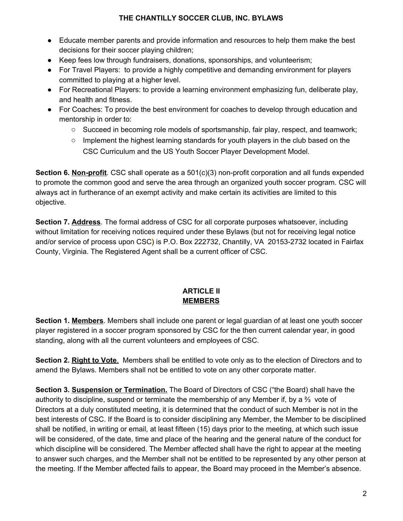- Educate member parents and provide information and resources to help them make the best decisions for their soccer playing children;
- Keep fees low through fundraisers, donations, sponsorships, and volunteerism;
- For Travel Players: to provide a highly competitive and demanding environment for players committed to playing at a higher level.
- For Recreational Players: to provide a learning environment emphasizing fun, deliberate play, and health and fitness.
- For Coaches: To provide the best environment for coaches to develop through education and mentorship in order to:
	- Succeed in becoming role models of sportsmanship, fair play, respect, and teamwork;
	- Implement the highest learning standards for youth players in the club based on the CSC Curriculum and the US Youth Soccer Player Development Model.

**Section 6. Non-profit**. CSC shall operate as a 501(c)(3) non-profit corporation and all funds expended to promote the common good and serve the area through an organized youth soccer program. CSC will always act in furtherance of an exempt activity and make certain its activities are limited to this objective.

**Section 7. Address**. The formal address of CSC for all corporate purposes whatsoever, including without limitation for receiving notices required under these Bylaws (but not for receiving legal notice and/or service of process upon CSC) is P.O. Box 222732, Chantilly, VA 20153-2732 located in Fairfax County, Virginia. The Registered Agent shall be a current officer of CSC.

### **ARTICLE II MEMBERS**

**Section 1. Members**. Members shall include one parent or legal guardian of at least one youth soccer player registered in a soccer program sponsored by CSC for the then current calendar year, in good standing, along with all the current volunteers and employees of CSC.

**Section 2. Right to Vote**. Members shall be entitled to vote only as to the election of Directors and to amend the Bylaws. Members shall not be entitled to vote on any other corporate matter.

**Section 3. Suspension or Termination.** The Board of Directors of CSC ("the Board) shall have the authority to discipline, suspend or terminate the membership of any Member if, by a ⅔ vote of Directors at a duly constituted meeting, it is determined that the conduct of such Member is not in the best interests of CSC. If the Board is to consider disciplining any Member, the Member to be disciplined shall be notified, in writing or email, at least fifteen (15) days prior to the meeting, at which such issue will be considered, of the date, time and place of the hearing and the general nature of the conduct for which discipline will be considered. The Member affected shall have the right to appear at the meeting to answer such charges, and the Member shall not be entitled to be represented by any other person at the meeting. If the Member affected fails to appear, the Board may proceed in the Member's absence.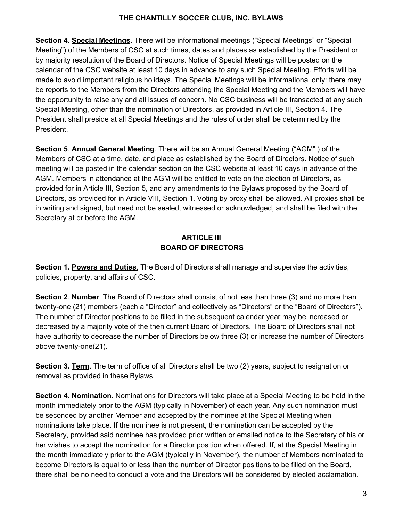**Section 4. Special Meetings**. There will be informational meetings ("Special Meetings" or "Special Meeting") of the Members of CSC at such times, dates and places as established by the President or by majority resolution of the Board of Directors. Notice of Special Meetings will be posted on the calendar of the CSC website at least 10 days in advance to any such Special Meeting. Efforts will be made to avoid important religious holidays. The Special Meetings will be informational only: there may be reports to the Members from the Directors attending the Special Meeting and the Members will have the opportunity to raise any and all issues of concern. No CSC business will be transacted at any such Special Meeting, other than the nomination of Directors, as provided in Article III, Section 4. The President shall preside at all Special Meetings and the rules of order shall be determined by the President.

**Section 5**. **Annual General Meeting**. There will be an Annual General Meeting ("AGM" ) of the Members of CSC at a time, date, and place as established by the Board of Directors. Notice of such meeting will be posted in the calendar section on the CSC website at least 10 days in advance of the AGM. Members in attendance at the AGM will be entitled to vote on the election of Directors, as provided for in Article III, Section 5, and any amendments to the Bylaws proposed by the Board of Directors, as provided for in Article VIII, Section 1. Voting by proxy shall be allowed. All proxies shall be in writing and signed, but need not be sealed, witnessed or acknowledged, and shall be filed with the Secretary at or before the AGM.

## **ARTICLE III BOARD OF DIRECTORS**

**Section 1. Powers and Duties**. The Board of Directors shall manage and supervise the activities, policies, property, and affairs of CSC.

**Section 2**. **Number**. The Board of Directors shall consist of not less than three (3) and no more than twenty-one (21) members (each a "Director" and collectively as "Directors" or the "Board of Directors"). The number of Director positions to be filled in the subsequent calendar year may be increased or decreased by a majority vote of the then current Board of Directors. The Board of Directors shall not have authority to decrease the number of Directors below three (3) or increase the number of Directors above twenty-one(21).

**Section 3. Term**. The term of office of all Directors shall be two (2) years, subject to resignation or removal as provided in these Bylaws.

**Section 4. Nomination**. Nominations for Directors will take place at a Special Meeting to be held in the month immediately prior to the AGM (typically in November) of each year. Any such nomination must be seconded by another Member and accepted by the nominee at the Special Meeting when nominations take place. If the nominee is not present, the nomination can be accepted by the Secretary, provided said nominee has provided prior written or emailed notice to the Secretary of his or her wishes to accept the nomination for a Director position when offered. If, at the Special Meeting in the month immediately prior to the AGM (typically in November), the number of Members nominated to become Directors is equal to or less than the number of Director positions to be filled on the Board, there shall be no need to conduct a vote and the Directors will be considered by elected acclamation.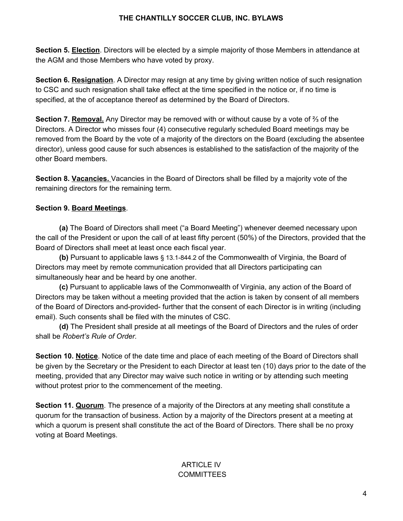**Section 5. <b>Election**. Directors will be elected by a simple majority of those Members in attendance at the AGM and those Members who have voted by proxy.

**Section 6. Resignation**. A Director may resign at any time by giving written notice of such resignation to CSC and such resignation shall take effect at the time specified in the notice or, if no time is specified, at the of acceptance thereof as determined by the Board of Directors.

**Section 7. Removal.** Any Director may be removed with or without cause by a vote of ⅔ of the Directors. A Director who misses four (4) consecutive regularly scheduled Board meetings may be removed from the Board by the vote of a majority of the directors on the Board (excluding the absentee director), unless good cause for such absences is established to the satisfaction of the majority of the other Board members.

**Section 8. Vacancies.** Vacancies in the Board of Directors shall be filled by a majority vote of the remaining directors for the remaining term.

### **Section 9. Board Meetings**.

**(a)** The Board of Directors shall meet ("a Board Meeting") whenever deemed necessary upon the call of the President or upon the call of at least fifty percent (50%) of the Directors, provided that the Board of Directors shall meet at least once each fiscal year.

**(b)** Pursuant to applicable laws § 13.1-844.2 of the Commonwealth of Virginia, the Board of Directors may meet by remote communication provided that all Directors participating can simultaneously hear and be heard by one another.

**(c)** Pursuant to applicable laws of the Commonwealth of Virginia, any action of the Board of Directors may be taken without a meeting provided that the action is taken by consent of all members of the Board of Directors and-provided- further that the consent of each Director is in writing (including email). Such consents shall be filed with the minutes of CSC.

**(d)** The President shall preside at all meetings of the Board of Directors and the rules of order shall be *Robert's Rule of Order.*

**Section 10. Notice**. Notice of the date time and place of each meeting of the Board of Directors shall be given by the Secretary or the President to each Director at least ten (10) days prior to the date of the meeting, provided that any Director may waive such notice in writing or by attending such meeting without protest prior to the commencement of the meeting.

**Section 11. Quorum**. The presence of a majority of the Directors at any meeting shall constitute a quorum for the transaction of business. Action by a majority of the Directors present at a meeting at which a quorum is present shall constitute the act of the Board of Directors. There shall be no proxy voting at Board Meetings.

### ARTICLE IV **COMMITTEES**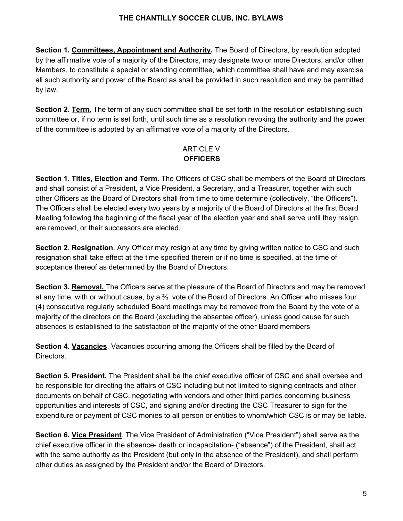**Section 1. Committees, Appointment and Authority.** The Board of Directors, by resolution adopted by the affirmative vote of a majority of the Directors, may designate two or more Directors, and/or other Members, to constitute a special or standing committee, which committee shall have and may exercise all such authority and power of the Board as shall be provided in such resolution and may be permitted by law.

**Section 2. Term.** The term of any such committee shall be set forth in the resolution establishing such committee or, if no term is set forth, until such time as a resolution revoking the authority and the power of the committee is adopted by an affirmative vote of a majority of the Directors.

## ARTICLE V **OFFICERS**

**Section 1. Titles, Election and Term.** The Officers of CSC shall be members of the Board of Directors and shall consist of a President, a Vice President, a Secretary, and a Treasurer, together with such other Officers as the Board of Directors shall from time to time determine (collectively, "the Officers"). The Officers shall be elected every two years by a majority of the Board of Directors at the first Board Meeting following the beginning of the fiscal year of the election year and shall serve until they resign, are removed, or their successors are elected.

**Section 2**. **Resignation**. Any Officer may resign at any time by giving written notice to CSC and such resignation shall take effect at the time specified therein or if no time is specified, at the time of acceptance thereof as determined by the Board of Directors.

**Section 3. Removal.** The Officers serve at the pleasure of the Board of Directors and may be removed at any time, with or without cause, by a  $\frac{2}{3}$  vote of the Board of Directors. An Officer who misses four (4) consecutive regularly scheduled Board meetings may be removed from the Board by the vote of a majority of the directors on the Board (excluding the absentee officer), unless good cause for such absences is established to the satisfaction of the majority of the other Board members

**Section 4. Vacancies**. Vacancies occurring among the Officers shall be filled by the Board of Directors.

**Section 5. President.** The President shall be the chief executive officer of CSC and shall oversee and be responsible for directing the affairs of CSC including but not limited to signing contracts and other documents on behalf of CSC, negotiating with vendors and other third parties concerning business opportunities and interests of CSC, and signing and/or directing the CSC Treasurer to sign for the expenditure or payment of CSC monies to all person or entities to whom/which CSC is or may be liable.

**Section 6. Vice President**. The Vice President of Administration ("Vice President") shall serve as the chief executive officer in the absence- death or incapacitation- ("absence") of the President, shall act with the same authority as the President (but only in the absence of the President), and shall perform other duties as assigned by the President and/or the Board of Directors.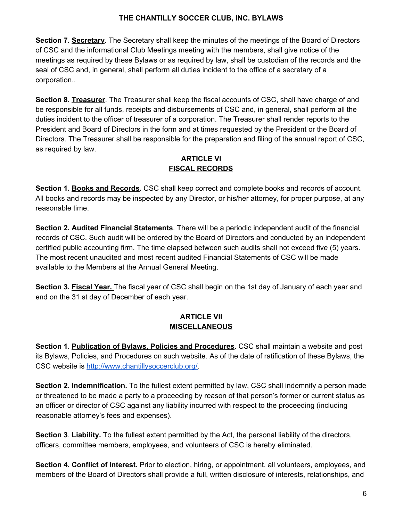**Section 7. Secretary.** The Secretary shall keep the minutes of the meetings of the Board of Directors of CSC and the informational Club Meetings meeting with the members, shall give notice of the meetings as required by these Bylaws or as required by law, shall be custodian of the records and the seal of CSC and, in general, shall perform all duties incident to the office of a secretary of a corporation..

**Section 8. Treasurer**. The Treasurer shall keep the fiscal accounts of CSC, shall have charge of and be responsible for all funds, receipts and disbursements of CSC and, in general, shall perform all the duties incident to the officer of treasurer of a corporation. The Treasurer shall render reports to the President and Board of Directors in the form and at times requested by the President or the Board of Directors. The Treasurer shall be responsible for the preparation and filing of the annual report of CSC, as required by law.

### **ARTICLE VI FISCAL RECORDS**

**Section 1. Books and Records.** CSC shall keep correct and complete books and records of account. All books and records may be inspected by any Director, or his/her attorney, for proper purpose, at any reasonable time.

**Section 2. Audited Financial Statements**. There will be a periodic independent audit of the financial records of CSC. Such audit will be ordered by the Board of Directors and conducted by an independent certified public accounting firm. The time elapsed between such audits shall not exceed five (5) years. The most recent unaudited and most recent audited Financial Statements of CSC will be made available to the Members at the Annual General Meeting.

**Section 3. Fiscal Year.** The fiscal year of CSC shall begin on the 1st day of January of each year and end on the 31 st day of December of each year.

### **ARTICLE VII MISCELLANEOUS**

**Section 1. Publication of Bylaws, Policies and Procedures**. CSC shall maintain a website and post its Bylaws, Policies, and Procedures on such website. As of the date of ratification of these Bylaws, the CSC website is [http://www.chantillysoccerclub.org/.](http://www.chantillysoccerclub.org/)

**Section 2. Indemnification.** To the fullest extent permitted by law, CSC shall indemnify a person made or threatened to be made a party to a proceeding by reason of that person's former or current status as an officer or director of CSC against any liability incurred with respect to the proceeding (including reasonable attorney's fees and expenses).

**Section 3**. **Liability.** To the fullest extent permitted by the Act, the personal liability of the directors, officers, committee members, employees, and volunteers of CSC is hereby eliminated.

**Section 4. Conflict of Interest.** Prior to election, hiring, or appointment, all volunteers, employees, and members of the Board of Directors shall provide a full, written disclosure of interests, relationships, and